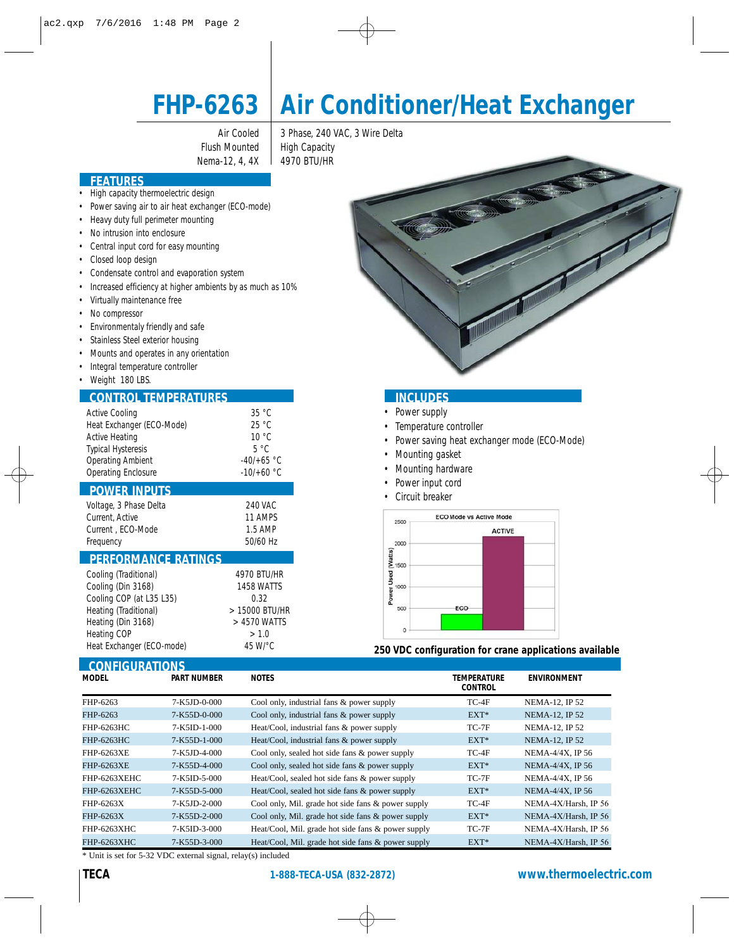

# **FHP-6263 Air Conditioner/Heat Exchanger**

Flush Mounted | High Capacity Nema-12, 4, 4X | 4970 BTU/HR

Air Cooled | 3 Phase, 240 VAC, 3 Wire Delta

## **FEATURES**

- High capacity thermoelectric design
- Power saving air to air heat exchanger (ECO-mode)
- Heavy duty full perimeter mounting
- No intrusion into enclosure
- Central input cord for easy mounting
- Closed loop design
- Condensate control and evaporation system
- Increased efficiency at higher ambients by as much as 10%
- Virtually maintenance free
- No compressor
- Environmentaly friendly and safe
- Stainless Steel exterior housing
- Mounts and operates in any orientation
- Integral temperature controller
- Weight 180 LBS.

I

## **CONTROL TEMPERATURES INCLUDES**

| <b>Active Cooling</b>     | 35 °C         |  |  |
|---------------------------|---------------|--|--|
| Heat Exchanger (ECO-Mode) | 25 °C         |  |  |
| <b>Active Heating</b>     | 10 °C         |  |  |
| <b>Typical Hysteresis</b> | $5^{\circ}$ C |  |  |
| <b>Operating Ambient</b>  | $-40/+65 °C$  |  |  |
| Operating Enclosure       | $-10/+60 °C$  |  |  |
| <b>POWER INPUTS</b>       |               |  |  |
| Voltage, 3 Phase Delta    | 240 VAC       |  |  |
| Current, Active           | 11 AMPS       |  |  |
| Current, ECO-Mode         | 1.5 AMP       |  |  |
| Freauency                 | 50/60 Hz      |  |  |

#### **PERFORMANCE RATINGS**

**CONFIGURATIONS** 

| Cooling (Traditional)     | 4970 BTU/HR    |
|---------------------------|----------------|
| Cooling (Din 3168)        | 1458 WATTS     |
| Cooling COP (at L35 L35)  | 0.32           |
| Heating (Traditional)     | > 15000 BTU/HR |
| Heating (Din 3168)        | > 4570 WATTS   |
| Heating COP               | > 1.0          |
| Heat Exchanger (ECO-mode) | 45 W/°C        |

- Power supply
- Temperature controller
- Power saving heat exchanger mode (ECO-Mode)
- Mounting gasket
- Mounting hardware
- Power input cord
- Circuit breaker



#### **250 VDC configuration for crane applications available**

| <b>CONTIGUIATIONS</b><br><b>MODEL</b> | <b>PART NUMBER</b>   | <b>NOTES</b>                                       | TEMPERATURE<br><b>CONTROL</b> | <b>ENVIRONMENT</b>   |
|---------------------------------------|----------------------|----------------------------------------------------|-------------------------------|----------------------|
| FHP-6263                              | 7-K5JD-0-000         | Cool only, industrial fans & power supply          | TC-4F                         | NEMA-12, IP 52       |
| FHP-6263                              | 7-K55D-0-000         | Cool only, industrial fans & power supply          | $EXT*$                        | NEMA-12, IP 52       |
| FHP-6263HC                            | 7-K5ID-1-000         | Heat/Cool, industrial fans & power supply          | $TC-7F$                       | NEMA-12, IP 52       |
| FHP-6263HC                            | $7 - K55D - 1 - 000$ | Heat/Cool, industrial fans & power supply          | $EXT^*$                       | NEMA-12, IP 52       |
| FHP-6263XE                            | 7-K5JD-4-000         | Cool only, sealed hot side fans & power supply     | TC-4F                         | NEMA-4/4X, IP 56     |
| FHP-6263XE                            | 7-K55D-4-000         | Cool only, sealed hot side fans & power supply     | $EXT*$                        | NEMA-4/4X, IP 56     |
| <b>FHP-6263XEHC</b>                   | 7-K5ID-5-000         | Heat/Cool, sealed hot side fans & power supply     | $TC-7F$                       | NEMA-4/4X, IP 56     |
| FHP-6263XEHC                          | 7-K55D-5-000         | Heat/Cool, sealed hot side fans & power supply     | $EXT^*$                       | NEMA-4/4X, IP 56     |
| FHP-6263X                             | 7-K5JD-2-000         | Cool only, Mil. grade hot side fans & power supply | TC-4F                         | NEMA-4X/Harsh, IP 56 |
| FHP-6263X                             | 7-K55D-2-000         | Cool only, Mil. grade hot side fans & power supply | $EXT*$                        | NEMA-4X/Harsh, IP 56 |
| <b>FHP-6263XHC</b>                    | 7-K5ID-3-000         | Heat/Cool, Mil. grade hot side fans & power supply | $TC-7F$                       | NEMA-4X/Harsh, IP 56 |
| FHP-6263XHC                           | 7-K55D-3-000         | Heat/Cool, Mil. grade hot side fans & power supply | $EXT^*$                       | NEMA-4X/Harsh, IP 56 |

\* Unit is set for 5-32 VDC external signal, relay(s) included

# **TECA 1-888-TECA-USA (832-2872) www.thermoelectric.com**